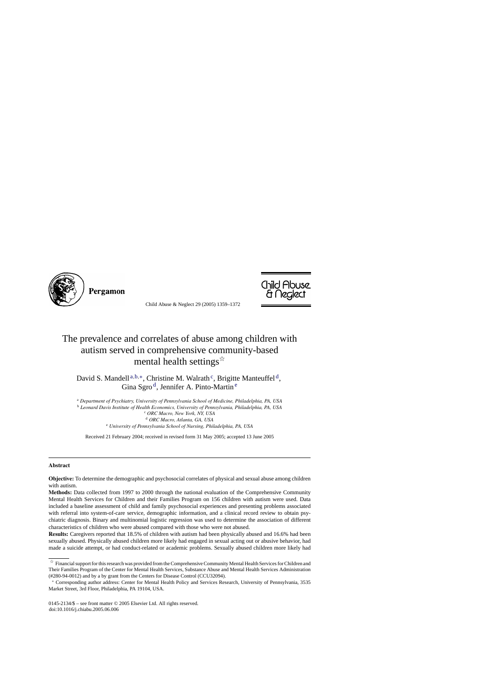

Pergamon

Child Abuse & Neglect 29 (2005) 1359–1372



# The prevalence and correlates of abuse among children with autism served in comprehensive community-based mental health settings $\hat{z}$

David S. Mandell<sup>a,b,\*</sup>, Christine M. Walrath<sup>c</sup>, Brigitte Manteuffel<sup>d</sup>, Gina Sgro<sup>d</sup>, Jennifer A. Pinto-Martin<sup>e</sup>

<sup>a</sup> *Department of Psychiatry, University of Pennsylvania School of Medicine, Philadelphia, PA, USA* <sup>b</sup> *Leonard Davis Institute of Health Economics, University of Pennsylvania, Philadelphia, PA, USA* <sup>c</sup> *ORC Macro, New York, NY, USA* <sup>d</sup> *ORC Macro, Atlanta, GA, USA* <sup>e</sup> *University of Pennsylvania School of Nursing, Philadelphia, PA, USA*

Received 21 February 2004; received in revised form 31 May 2005; accepted 13 June 2005

# **Abstract**

**Objective:** To determine the demographic and psychosocial correlates of physical and sexual abuse among children with autism.

**Methods:** Data collected from 1997 to 2000 through the national evaluation of the Comprehensive Community Mental Health Services for Children and their Families Program on 156 children with autism were used. Data included a baseline assessment of child and family psychosocial experiences and presenting problems associated with referral into system-of-care service, demographic information, and a clinical record review to obtain psychiatric diagnosis. Binary and multinomial logistic regression was used to determine the association of different characteristics of children who were abused compared with those who were not abused.

**Results:** Caregivers reported that 18.5% of children with autism had been physically abused and 16.6% had been sexually abused. Physically abused children more likely had engaged in sexual acting out or abusive behavior, had made a suicide attempt, or had conduct-related or academic problems. Sexually abused children more likely had

 $\forall$  Financial support for this research was provided from the Comprehensive Community Mental Health Services for Children and Their Families Program of the Center for Mental Health Services, Substance Abuse and Mental Health Services Administration (#280-94-0012) and by a by grant from the Centers for Disease Control (CCU32094).

Corresponding author address: Center for Mental Health Policy and Services Research, University of Pennsylvania, 3535 Market Street, 3rd Floor, Philadelphia, PA 19104, USA.

<sup>0145-2134/\$ –</sup> see front matter © 2005 Elsevier Ltd. All rights reserved. doi:10.1016/j.chiabu.2005.06.006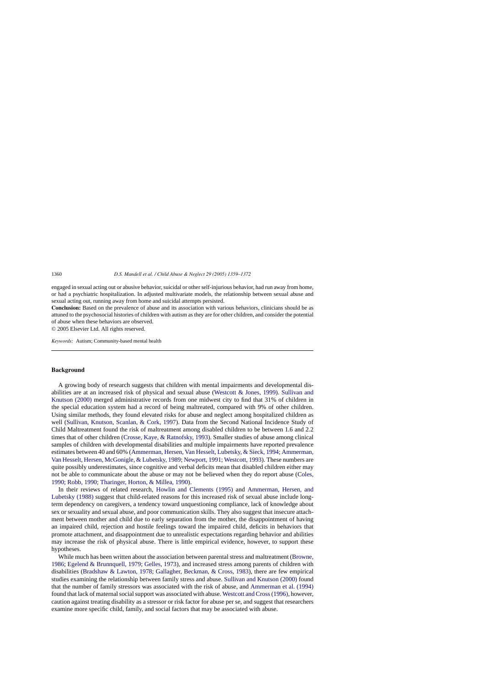engaged in sexual acting out or abusive behavior, suicidal or other self-injurious behavior, had run away from home, or had a psychiatric hospitalization. In adjusted multivariate models, the relationship between sexual abuse and sexual acting out, running away from home and suicidal attempts persisted.

**Conclusion:** Based on the prevalence of abuse and its association with various behaviors, clinicians should be as attuned to the psychosocial histories of children with autism as they are for other children, and consider the potential of abuse when these behaviors are observed.

© 2005 Elsevier Ltd. All rights reserved.

*Keywords:* Autism; Community-based mental health

## **Background**

A growing body of research suggests that children with mental impairments and developmental disabilities are at an increased risk of physical and sexual abuse [\(Westcott & Jones, 1999\).](#page-13-0) [Sullivan and](#page-13-0) [Knutson \(2000\)](#page-13-0) merged administrative records from one midwest city to find that 31% of children in the special education system had a record of being maltreated, compared with 9% of other children. Using similar methods, they found elevated risks for abuse and neglect among hospitalized children as well [\(Sullivan, Knutson, Scanlan, & Cork, 1997\).](#page-13-0) Data from the Second National Incidence Study of Child Maltreatment found the risk of maltreatment among disabled children to be between 1.6 and 2.2 times that of other children ([Crosse, Kaye, & Ratnofsky, 1993\).](#page-11-0) Smaller studies of abuse among clinical samples of children with developmental disabilities and multiple impairments have reported prevalence estimates between 40 and 60% [\(Ammerman, Hersen, Van Hesselt, Lubetsky, & Sieck, 1994;](#page-11-0) [Ammerman,](#page-11-0) [Van Hesselt, Hersen, McGonigle, & Lubetsky, 1989;](#page-11-0) [Newport, 1991; Westcott, 1993\).](#page-12-0) These numbers are quite possibly underestimates, since cognitive and verbal deficits mean that disabled children either may not be able to communicate about the abuse or may not be believed when they do report abuse ([Coles,](#page-11-0) [1990; Robb, 1990;](#page-11-0) [Tharinger, Horton, & Millea, 1990\).](#page-13-0)

In their reviews of related research, [Howlin and Clements \(1995\)](#page-12-0) and [Ammerman, Hersen, and](#page-11-0) [Lubetsky \(1988\)](#page-11-0) suggest that child-related reasons for this increased risk of sexual abuse include longterm dependency on caregivers, a tendency toward unquestioning compliance, lack of knowledge about sex or sexuality and sexual abuse, and poor communication skills. They also suggest that insecure attachment between mother and child due to early separation from the mother, the disappointment of having an impaired child, rejection and hostile feelings toward the impaired child, deficits in behaviors that promote attachment, and disappointment due to unrealistic expectations regarding behavior and abilities may increase the risk of physical abuse. There is little empirical evidence, however, to support these hypotheses.

While much has been written about the association between parental stress and maltreatment [\(Browne,](#page-11-0) [1986;](#page-11-0) [Egelend & Brunnquell, 1979;](#page-11-0) [Gelles, 1973\),](#page-12-0) and increased stress among parents of children with disabilities ([Bradshaw & Lawton, 1978;](#page-11-0) [Gallagher, Beckman, & Cross, 1983\),](#page-12-0) there are few empirical studies examining the relationship between family stress and abuse. [Sullivan and Knutson \(2000\)](#page-13-0) found that the number of family stressors was associated with the risk of abuse, and [Ammerman et al. \(1994\)](#page-11-0) found that lack of maternal social support was associated with abuse. [Westcott and Cross \(1996\),](#page-13-0) however, caution against treating disability as a stressor or risk factor for abuse per se, and suggest that researchers examine more specific child, family, and social factors that may be associated with abuse.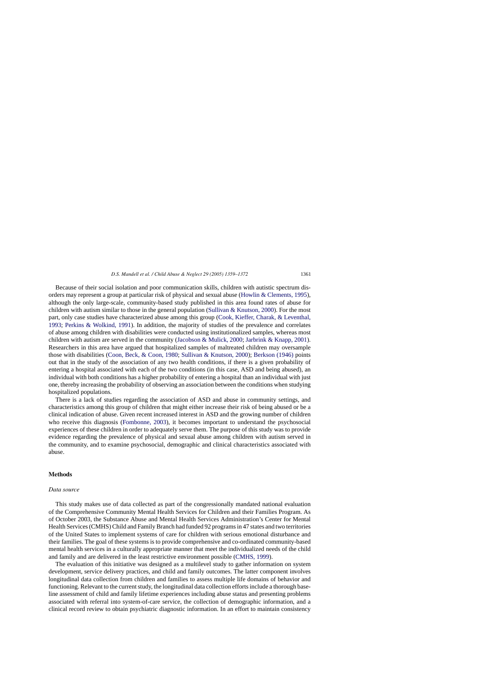Because of their social isolation and poor communication skills, children with autistic spectrum disorders may represent a group at particular risk of physical and sexual abuse ([Howlin & Clements, 1995\),](#page-12-0) although the only large-scale, community-based study published in this area found rates of abuse for children with autism similar to those in the general population ([Sullivan & Knutson, 2000\).](#page-13-0) For the most part, only case studies have characterized abuse among this group [\(Cook, Kieffer, Charak, & Leventhal,](#page-11-0) [1993;](#page-11-0) [Perkins & Wolkind, 1991\).](#page-12-0) In addition, the majority of studies of the prevalence and correlates of abuse among children with disabilities were conducted using institutionalized samples, whereas most children with autism are served in the community [\(Jacobson & Mulick, 2000;](#page-12-0) [Jarbrink & Knapp, 2001\).](#page-12-0) Researchers in this area have argued that hospitalized samples of maltreated children may oversample those with disabilities [\(Coon, Beck, & Coon, 1980;](#page-11-0) [Sullivan & Knutson, 2000\);](#page-13-0) [Berkson \(1946\)](#page-11-0) points out that in the study of the association of any two health conditions, if there is a given probability of entering a hospital associated with each of the two conditions (in this case, ASD and being abused), an individual with both conditions has a higher probability of entering a hospital than an individual with just one, thereby increasing the probability of observing an association between the conditions when studying hospitalized populations.

There is a lack of studies regarding the association of ASD and abuse in community settings, and characteristics among this group of children that might either increase their risk of being abused or be a clinical indication of abuse. Given recent increased interest in ASD and the growing number of children who receive this diagnosis ([Fombonne, 2003\),](#page-12-0) it becomes important to understand the psychosocial experiences of these children in order to adequately serve them. The purpose of this study was to provide evidence regarding the prevalence of physical and sexual abuse among children with autism served in the community, and to examine psychosocial, demographic and clinical characteristics associated with abuse.

#### **Methods**

#### *Data source*

This study makes use of data collected as part of the congressionally mandated national evaluation of the Comprehensive Community Mental Health Services for Children and their Families Program. As of October 2003, the Substance Abuse and Mental Health Services Administration's Center for Mental Health Services (CMHS) Child and Family Branch had funded 92 programs in 47 states and two territories of the United States to implement systems of care for children with serious emotional disturbance and their families. The goal of these systems is to provide comprehensive and co-ordinated community-based mental health services in a culturally appropriate manner that meet the individualized needs of the child and family and are delivered in the least restrictive environment possible [\(CMHS, 1999\).](#page-11-0)

The evaluation of this initiative was designed as a multilevel study to gather information on system development, service delivery practices, and child and family outcomes. The latter component involves longitudinal data collection from children and families to assess multiple life domains of behavior and functioning. Relevant to the current study, the longitudinal data collection efforts include a thorough baseline assessment of child and family lifetime experiences including abuse status and presenting problems associated with referral into system-of-care service, the collection of demographic information, and a clinical record review to obtain psychiatric diagnostic information. In an effort to maintain consistency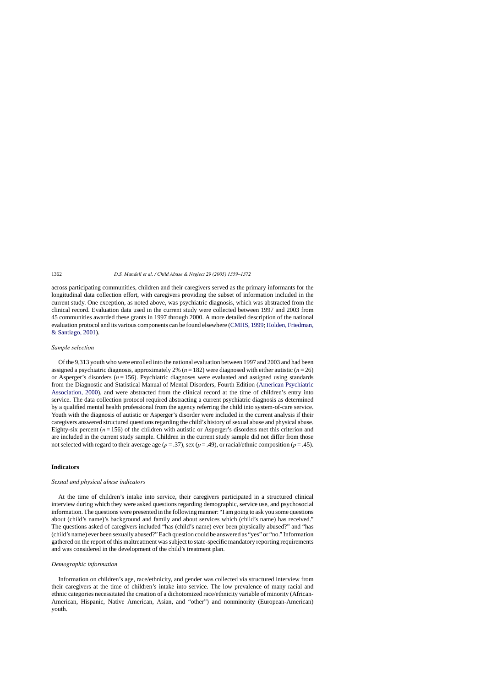across participating communities, children and their caregivers served as the primary informants for the longitudinal data collection effort, with caregivers providing the subset of information included in the current study. One exception, as noted above, was psychiatric diagnosis, which was abstracted from the clinical record. Evaluation data used in the current study were collected between 1997 and 2003 from 45 communities awarded these grants in 1997 through 2000. A more detailed description of the national evaluation protocol and its various components can be found elsewhere [\(CMHS, 1999;](#page-11-0) [Holden, Friedman,](#page-12-0) [& Santiago, 2001\).](#page-12-0)

### *Sample selection*

Of the 9,313 youth who were enrolled into the national evaluation between 1997 and 2003 and had been assigned a psychiatric diagnosis, approximately 2% ( $n = 182$ ) were diagnosed with either autistic ( $n = 26$ ) or Asperger's disorders  $(n=156)$ . Psychiatric diagnoses were evaluated and assigned using standards from the Diagnostic and Statistical Manual of Mental Disorders, Fourth Edition [\(American Psychiatric](#page-11-0) [Association, 2000\),](#page-11-0) and were abstracted from the clinical record at the time of children's entry into service. The data collection protocol required abstracting a current psychiatric diagnosis as determined by a qualified mental health professional from the agency referring the child into system-of-care service. Youth with the diagnosis of autistic or Asperger's disorder were included in the current analysis if their caregivers answered structured questions regarding the child's history of sexual abuse and physical abuse. Eighty-six percent (*n* = 156) of the children with autistic or Asperger's disorders met this criterion and are included in the current study sample. Children in the current study sample did not differ from those not selected with regard to their average age ( $p = .37$ ), sex ( $p = .49$ ), or racial/ethnic composition ( $p = .45$ ).

# **Indicators**

# *Sexual and physical abuse indicators*

At the time of children's intake into service, their caregivers participated in a structured clinical interview during which they were asked questions regarding demographic, service use, and psychosocial information. The questions were presented in the following manner: "I am going to ask you some questions about (child's name)'s background and family and about services which (child's name) has received." The questions asked of caregivers included "has (child's name) ever been physically abused?" and "has (child's name) ever been sexually abused?" Each question could be answered as "yes" or "no." Information gathered on the report of this maltreatment was subject to state-specific mandatory reporting requirements and was considered in the development of the child's treatment plan.

# *Demographic information*

Information on children's age, race/ethnicity, and gender was collected via structured interview from their caregivers at the time of children's intake into service. The low prevalence of many racial and ethnic categories necessitated the creation of a dichotomized race/ethnicity variable of minority (African-American, Hispanic, Native American, Asian, and "other") and nonminority (European-American) youth.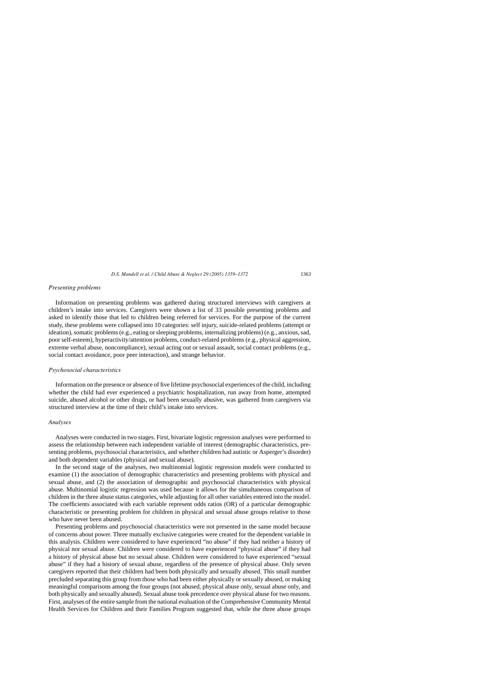# *Presenting problems*

Information on presenting problems was gathered during structured interviews with caregivers at children's intake into services. Caregivers were shown a list of 33 possible presenting problems and asked to identify those that led to children being referred for services. For the purpose of the current study, these problems were collapsed into 10 categories: self injury, suicide-related problems (attempt or ideation), somatic problems (e.g., eating or sleeping problems, internalizing problems) (e.g., anxious, sad, poor self-esteem), hyperactivity/attention problems, conduct-related problems (e.g., physical aggression, extreme verbal abuse, noncompliance), sexual acting out or sexual assault, social contact problems (e.g., social contact avoidance, poor peer interaction), and strange behavior.

#### *Psychosocial characteristics*

Information on the presence or absence of five lifetime psychosocial experiences of the child, including whether the child had ever experienced a psychiatric hospitalization, run away from home, attempted suicide, abused alcohol or other drugs, or had been sexually abusive, was gathered from caregivers via structured interview at the time of their child's intake into services.

#### *Analyses*

Analyses were conducted in two stages. First, bivariate logistic regression analyses were performed to assess the relationship between each independent variable of interest (demographic characteristics, presenting problems, psychosocial characteristics, and whether children had autistic or Asperger's disorder) and both dependent variables (physical and sexual abuse).

In the second stage of the analyses, two multinomial logistic regression models were conducted to examine (1) the association of demographic characteristics and presenting problems with physical and sexual abuse, and (2) the association of demographic and psychosocial characteristics with physical abuse. Multinomial logistic regression was used because it allows for the simultaneous comparison of children in the three abuse status categories, while adjusting for all other variables entered into the model. The coefficients associated with each variable represent odds ratios (OR) of a particular demographic characteristic or presenting problem for children in physical and sexual abuse groups relative to those who have never been abused.

Presenting problems and psychosocial characteristics were not presented in the same model because of concerns about power. Three mutually exclusive categories were created for the dependent variable in this analysis. Children were considered to have experienced "no abuse" if they had neither a history of physical nor sexual abuse. Children were considered to have experienced "physical abuse" if they had a history of physical abuse but no sexual abuse. Children were considered to have experienced "sexual abuse" if they had a history of sexual abuse, regardless of the presence of physical abuse. Only seven caregivers reported that their children had been both physically and sexually abused. This small number precluded separating this group from those who had been either physically or sexually abused, or making meaningful comparisons among the four groups (not abused, physical abuse only, sexual abuse only, and both physically and sexually abused). Sexual abuse took precedence over physical abuse for two reasons. First, analyses of the entire sample from the national evaluation of the Comprehensive Community Mental Health Services for Children and their Families Program suggested that, while the three abuse groups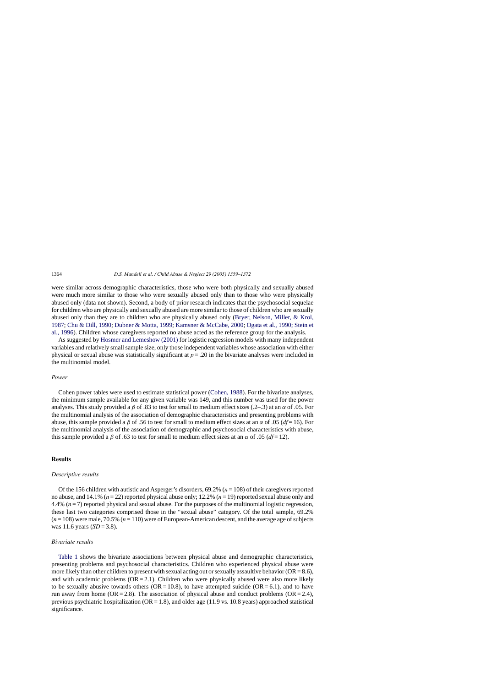were similar across demographic characteristics, those who were both physically and sexually abused were much more similar to those who were sexually abused only than to those who were physically abused only (data not shown). Second, a body of prior research indicates that the psychosocial sequelae for children who are physically and sexually abused are more similar to those of children who are sexually abused only than they are to children who are physically abused only [\(Bryer, Nelson, Miller, & Krol,](#page-11-0) [1987;](#page-11-0) [Chu & Dill, 1990;](#page-11-0) [Dubner & Motta, 1999;](#page-11-0) [Kamsner & McCabe, 2000;](#page-12-0) [Ogata et al., 1990; Stein et](#page-12-0) [al., 1996\).](#page-12-0) Children whose caregivers reported no abuse acted as the reference group for the analysis.

As suggested by [Hosmer and Lemeshow \(2001\)](#page-12-0) for logistic regression models with many independent variables and relatively small sample size, only those independent variables whose association with either physical or sexual abuse was statistically significant at *p* = .20 in the bivariate analyses were included in the multinomial model.

## *Power*

Cohen power tables were used to estimate statistical power ([Cohen, 1988\).](#page-11-0) For the bivariate analyses, the minimum sample available for any given variable was 149, and this number was used for the power analyses. This study provided a  $\beta$  of .83 to test for small to medium effect sizes (.2–.3) at an  $\alpha$  of .05. For the multinomial analysis of the association of demographic characteristics and presenting problems with abuse, this sample provided a  $\beta$  of .56 to test for small to medium effect sizes at an  $\alpha$  of .05 (*df* = 16). For the multinomial analysis of the association of demographic and psychosocial characteristics with abuse, this sample provided a  $\beta$  of .63 to test for small to medium effect sizes at an  $\alpha$  of .05 (*df* = 12).

## **Results**

#### *Descriptive results*

Of the 156 children with autistic and Asperger's disorders, 69.2% (*n* = 108) of their caregivers reported no abuse, and 14.1% (*n* = 22) reported physical abuse only; 12.2% (*n* = 19) reported sexual abuse only and 4.4%  $(n=7)$  reported physical and sexual abuse. For the purposes of the multinomial logistic regression, these last two categories comprised those in the "sexual abuse" category. Of the total sample, 69.2%  $(n=108)$  were male, 70.5%  $(n=110)$  were of European-American descent, and the average age of subjects was 11.6 years (*SD* = 3.8).

# *Bivariate results*

[Table 1](#page-6-0) shows the bivariate associations between physical abuse and demographic characteristics, presenting problems and psychosocial characteristics. Children who experienced physical abuse were more likely than other children to present with sexual acting out or sexually assaultive behavior ( $OR = 8.6$ ), and with academic problems  $(OR = 2.1)$ . Children who were physically abused were also more likely to be sexually abusive towards others ( $OR = 10.8$ ), to have attempted suicide ( $OR = 6.1$ ), and to have run away from home (OR = 2.8). The association of physical abuse and conduct problems (OR = 2.4), previous psychiatric hospitalization ( $OR = 1.8$ ), and older age (11.9 vs. 10.8 years) approached statistical significance.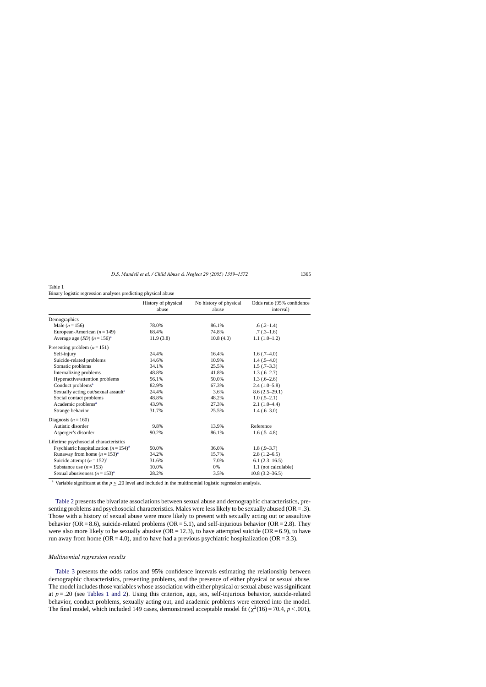#### <span id="page-6-0"></span>Table 1

Binary logistic regression analyses predicting physical abuse

|                                                 | History of physical<br>abuse | No history of physical<br>abuse | Odds ratio (95% confidence<br>interval) |  |
|-------------------------------------------------|------------------------------|---------------------------------|-----------------------------------------|--|
| Demographics                                    |                              |                                 |                                         |  |
| Male ( $n = 156$ )                              | 78.0%                        | 86.1%                           | $.6(.2-1.4)$                            |  |
| European-American ( $n = 149$ )                 | 68.4%                        | 74.8%                           | $.7(0.3-1.6)$                           |  |
| Average age (SD) $(n=156)^a$                    | 11.9(3.8)                    | 10.8(4.0)                       | $1.1(1.0-1.2)$                          |  |
| Presenting problem $(n=151)$                    |                              |                                 |                                         |  |
| Self-injury                                     | 24.4%                        | 16.4%                           | $1.6(.7-4.0)$                           |  |
| Suicide-related problems                        | 14.6%                        | 10.9%                           | $1.4(.5-4.0)$                           |  |
| Somatic problems                                | 34.1%                        | 25.5%                           | $1.5(.7-3.3)$                           |  |
| Internalizing problems                          | 48.8%                        | 41.8%                           | $1.3(.6-2.7)$                           |  |
| Hyperactive/attention problems                  | 56.1%                        | 50.0%                           | $1.3(.6-2.6)$                           |  |
| Conduct problems <sup>a</sup>                   | 82.9%                        | 67.3%                           | $2.4(1.0-5.8)$                          |  |
| Sexually acting out/sexual assault <sup>a</sup> | 24.4%                        | 3.6%                            | $8.6(2.5-29.1)$                         |  |
| Social contact problems                         | 48.8%                        | 48.2%                           | $1.0(.5-2.1)$                           |  |
| Academic problems <sup>a</sup>                  | 43.9%                        | 27.3%                           | $2.1(1.0-4.4)$                          |  |
| Strange behavior                                | 31.7%                        | 25.5%                           | $1.4(.6-3.0)$                           |  |
| Diagnosis ( $n = 160$ )                         |                              |                                 |                                         |  |
| Autistic disorder                               | 9.8%                         | 13.9%                           | Reference                               |  |
| Asperger's disorder                             | 90.2%                        | 86.1%                           | $1.6(.5-4.8)$                           |  |
| Lifetime psychosocial characteristics           |                              |                                 |                                         |  |
| Psychiatric hospitalization $(n = 154)^a$       | 50.0%                        | 36.0%                           | $1.8(.9-3.7)$                           |  |
| Runaway from home $(n = 153)^a$                 | 34.2%                        | 15.7%                           | $2.8(1.2-6.5)$                          |  |
| Suicide attempt $(n=152)^{a}$                   | 31.6%                        | 7.0%                            | $6.1(2.3-16.5)$                         |  |
| Substance use $(n=153)$                         | 10.0%                        | 0%                              | 1.1 (not calculable)                    |  |
| Sexual abusiveness $(n=153)^{a}$                | 28.2%                        | 3.5%                            | $10.8(3.2 - 36.5)$                      |  |

<sup>a</sup> Variable significant at the  $p \le 0.20$  level and included in the multinomial logistic regression analysis.

[Table 2](#page-7-0) presents the bivariate associations between sexual abuse and demographic characteristics, presenting problems and psychosocial characteristics. Males were less likely to be sexually abused ( $OR = .3$ ). Those with a history of sexual abuse were more likely to present with sexually acting out or assaultive behavior ( $OR = 8.6$ ), suicide-related problems ( $OR = 5.1$ ), and self-injurious behavior ( $OR = 2.8$ ). They were also more likely to be sexually abusive  $(OR = 12.3)$ , to have attempted suicide  $(OR = 6.9)$ , to have run away from home  $(OR = 4.0)$ , and to have had a previous psychiatric hospitalization  $(OR = 3.3)$ .

#### *Multinomial regression results*

[Table 3](#page-7-0) presents the odds ratios and 95% confidence intervals estimating the relationship between demographic characteristics, presenting problems, and the presence of either physical or sexual abuse. The model includes those variables whose association with either physical or sexual abuse was significant at *p* = .20 (see Tables 1 and 2). Using this criterion, age, sex, self-injurious behavior, suicide-related behavior, conduct problems, sexually acting out, and academic problems were entered into the model. The final model, which included 149 cases, demonstrated acceptable model fit ( $\chi^2(16) = 70.4$ ,  $p < .001$ ),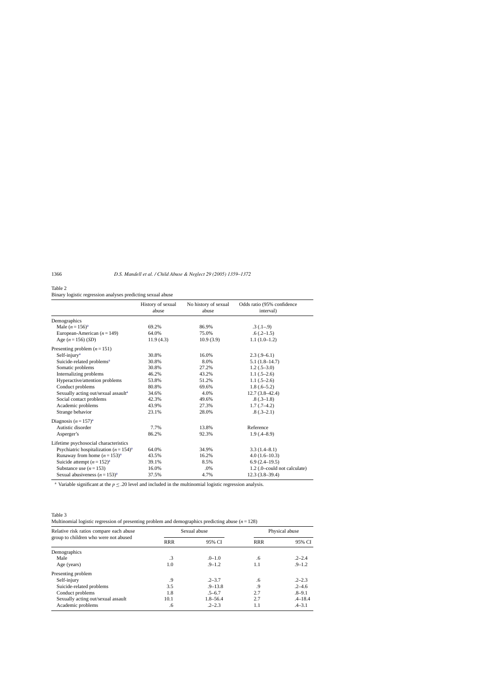# Table 2

|  |  | Binary logistic regression analyses predicting sexual abuse |  |  |  |  |
|--|--|-------------------------------------------------------------|--|--|--|--|
|--|--|-------------------------------------------------------------|--|--|--|--|

|                                                 | History of sexual<br>abuse | No history of sexual<br>abuse | Odds ratio (95% confidence<br>interval) |
|-------------------------------------------------|----------------------------|-------------------------------|-----------------------------------------|
| Demographics                                    |                            |                               |                                         |
| Male $(n = 156)^{a}$                            | 69.2%                      | 86.9%                         | $.3(.1-.9)$                             |
| European-American ( $n = 149$ )                 | 64.0%                      | 75.0%                         | $.6(.2-1.5)$                            |
| Age $(n = 156)$ (SD)                            | 11.9(4.3)                  | 10.9(3.9)                     | $1.1(1.0-1.2)$                          |
| Presenting problem $(n=151)$                    |                            |                               |                                         |
| Self-injury <sup>a</sup>                        | 30.8%                      | 16.0%                         | $2.3(.9-6.1)$                           |
| Suicide-related problems <sup>a</sup>           | 30.8%                      | 8.0%                          | $5.1(1.8-14.7)$                         |
| Somatic problems                                | 30.8%                      | 27.2%                         | $1.2(.5-3.0)$                           |
| Internalizing problems                          | 46.2%                      | 43.2%                         | $1.1(.5-2.6)$                           |
| Hyperactive/attention problems                  | 53.8%                      | 51.2%                         | $1.1(.5-2.6)$                           |
| Conduct problems                                | 80.8%                      | 69.6%                         | $1.8(.6-5.2)$                           |
| Sexually acting out/sexual assault <sup>a</sup> | 34.6%                      | 4.0%                          | $12.7(3.8-42.4)$                        |
| Social contact problems                         | 42.3%                      | 49.6%                         | $.8(.3-1.8)$                            |
| Academic problems                               | 43.9%                      | 27.3%                         | $1.7(0.7-4.2)$                          |
| Strange behavior                                | 23.1%                      | 28.0%                         | $.8(.3-2.1)$                            |
| Diagnosis $(n=157)^{a}$                         |                            |                               |                                         |
| Autistic disorder                               | 7.7%                       | 13.8%                         | Reference                               |
| Asperger's                                      | 86.2%                      | 92.3%                         | $1.9(.4 - 8.9)$                         |
| Lifetime psychosocial characteristics           |                            |                               |                                         |
| Psychiatric hospitalization $(n = 154)^a$       | 64.0%                      | 34.9%                         | 3.3(1.4–8.1)                            |
| Runaway from home $(n = 153)^a$                 | 43.5%                      | 16.2%                         | $4.0(1.6-10.3)$                         |
| Suicide attempt $(n=152)^{a}$                   | 39.1%                      | 8.5%                          | $6.9(2.4-19.5)$                         |
| Substance use $(n = 153)$                       | 16.0%                      | .0%                           | 1.2 (.0–could not calculate)            |
| Sexual abusiveness $(n=153)^{a}$                | 37.5%                      | 4.7%                          | $12.3(3.8-39.4)$                        |

<sup>a</sup> Variable significant at the  $p \leq 0.20$  level and included in the multinomial logistic regression analysis.

## Table 3 Multinomial logistic regression of presenting problem and demographics predicting abuse  $(n = 128)$

| Relative risk ratios compare each abuse<br>group to children who were not abused | Sexual abuse |              | Physical abuse |             |
|----------------------------------------------------------------------------------|--------------|--------------|----------------|-------------|
|                                                                                  | <b>RRR</b>   | 95% CI       | <b>RRR</b>     | 95% CI      |
| Demographics                                                                     |              |              |                |             |
| Male                                                                             | .3           | $.0 - 1.0$   | .6             | $-2-2.4$    |
| Age (years)                                                                      | 1.0          | $.9 - 1.2$   | 1.1            | $.9 - 1.2$  |
| Presenting problem                                                               |              |              |                |             |
| Self-injury                                                                      | .9           | $-2-3.7$     | .6             | $-2-2.3$    |
| Suicide-related problems                                                         | 3.5          | $.9 - 13.8$  | .9             | $.2 - 4.6$  |
| Conduct problems                                                                 | 1.8          | $.5 - 6.7$   | 2.7            | $.8 - 9.1$  |
| Sexually acting out/sexual assault                                               | 10.1         | $1.8 - 56.4$ | 2.7            | $.4 - 18.4$ |
| Academic problems                                                                | .6           | $-2-2.3$     | 1.1            | $-4-3.1$    |

<span id="page-7-0"></span>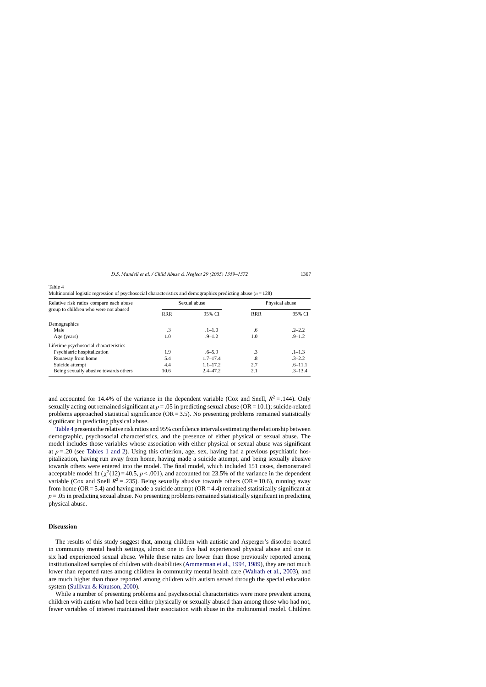| Relative risk ratios compare each abuse<br>group to children who were not abused |            | Sexual abuse | Physical abuse |             |
|----------------------------------------------------------------------------------|------------|--------------|----------------|-------------|
|                                                                                  | <b>RRR</b> | 95% CI       | <b>RRR</b>     | 95% CI      |
| Demographics                                                                     |            |              |                |             |
| Male                                                                             | $\cdot$ 3  | $.1 - 1.0$   | .6             | $-2-2.2$    |
| Age (years)                                                                      | 1.0        | $.9 - 1.2$   | 1.0            | $.9 - 1.2$  |
| Lifetime psychosocial characteristics                                            |            |              |                |             |
| Psychiatric hospitalization                                                      | 1.9        | $.6 - 5.9$   | .3             | $-1-1.3$    |
| Runaway from home                                                                | 5.4        | $1.7 - 17.4$ | .8             | $.3 - 2.2$  |
| Suicide attempt                                                                  | 4.4        | $1.1 - 17.2$ | 2.7            | $.6 - 11.1$ |
| Being sexually abusive towards others                                            | 10.6       | $2.4 - 47.2$ | 2.1            | $.3 - 13.4$ |

Multinomial logistic regression of psychosocial characteristics and demographics predicting abuse (*n* = 128)

and accounted for 14.4% of the variance in the dependent variable (Cox and Snell,  $R^2 = .144$ ). Only sexually acting out remained significant at  $p = .05$  in predicting sexual abuse (OR = 10.1); suicide-related problems approached statistical significance ( $OR = 3.5$ ). No presenting problems remained statistically significant in predicting physical abuse.

Table 4 presents the relative risk ratios and 95% confidence intervals estimating the relationship between demographic, psychosocial characteristics, and the presence of either physical or sexual abuse. The model includes those variables whose association with either physical or sexual abuse was significant at  $p = 0.20$  (see [Tables 1 and 2\)](#page-6-0). Using this criterion, age, sex, having had a previous psychiatric hospitalization, having run away from home, having made a suicide attempt, and being sexually abusive towards others were entered into the model. The final model, which included 151 cases, demonstrated acceptable model fit ( $\chi^2(12) = 40.5$ ,  $p < .001$ ), and accounted for 23.5% of the variance in the dependent variable (Cox and Snell  $R^2 = .235$ ). Being sexually abusive towards others (OR = 10.6), running away from home ( $OR = 5.4$ ) and having made a suicide attempt ( $OR = 4.4$ ) remained statistically significant at  $p = 0.05$  in predicting sexual abuse. No presenting problems remained statistically significant in predicting physical abuse.

# **Discussion**

Table 4

The results of this study suggest that, among children with autistic and Asperger's disorder treated in community mental health settings, almost one in five had experienced physical abuse and one in six had experienced sexual abuse. While these rates are lower than those previously reported among institutionalized samples of children with disabilities [\(Ammerman et al., 1994, 1989\),](#page-11-0) they are not much lower than reported rates among children in community mental health care [\(Walrath et al., 2003\),](#page-13-0) and are much higher than those reported among children with autism served through the special education system [\(Sullivan & Knutson, 2000\).](#page-13-0)

While a number of presenting problems and psychosocial characteristics were more prevalent among children with autism who had been either physically or sexually abused than among those who had not, fewer variables of interest maintained their association with abuse in the multinomial model. Children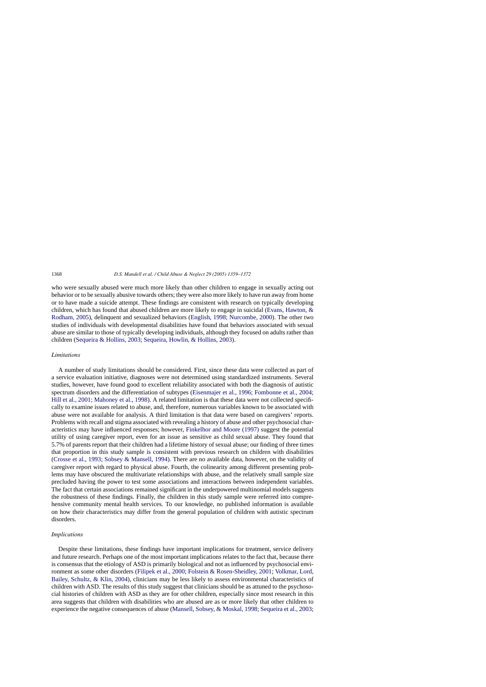who were sexually abused were much more likely than other children to engage in sexually acting out behavior or to be sexually abusive towards others; they were also more likely to have run away from home or to have made a suicide attempt. These findings are consistent with research on typically developing children, which has found that abused children are more likely to engage in suicidal ([Evans, Hawton, &](#page-11-0) [Rodham, 2005\),](#page-11-0) delinquent and sexualized behaviors [\(English, 1998; Nurcombe, 2000\).](#page-11-0) The other two studies of individuals with developmental disabilities have found that behaviors associated with sexual abuse are similar to those of typically developing individuals, although they focused on adults rather than children [\(Sequeira & Hollins, 2003;](#page-12-0) [Sequeira, Howlin, & Hollins, 2003\).](#page-12-0)

# *Limitations*

A number of study limitations should be considered. First, since these data were collected as part of a service evaluation initiative, diagnoses were not determined using standardized instruments. Several studies, however, have found good to excellent reliability associated with both the diagnosis of autistic spectrum disorders and the differentiation of subtypes ([Eisenmajer et al., 1996; Fombonne et al., 2004;](#page-11-0) [Hill et al., 2001; Mahoney et al., 1998\).](#page-11-0) A related limitation is that these data were not collected specifically to examine issues related to abuse, and, therefore, numerous variables known to be associated with abuse were not available for analysis. A third limitation is that data were based on caregivers' reports. Problems with recall and stigma associated with revealing a history of abuse and other psychosocial characteristics may have influenced responses; however, [Finkelhor and Moore \(1997\)](#page-11-0) suggest the potential utility of using caregiver report, even for an issue as sensitive as child sexual abuse. They found that 5.7% of parents report that their children had a lifetime history of sexual abuse; our finding of three times that proportion in this study sample is consistent with previous research on children with disabilities ([Crosse et al., 1993;](#page-11-0) [Sobsey & Mansell, 1994\).](#page-12-0) There are no available data, however, on the validity of caregiver report with regard to physical abuse. Fourth, the colinearity among different presenting problems may have obscured the multivariate relationships with abuse, and the relatively small sample size precluded having the power to test some associations and interactions between independent variables. The fact that certain associations remained significant in the underpowered multinomial models suggests the robustness of these findings. Finally, the children in this study sample were referred into comprehensive community mental health services. To our knowledge, no published information is available on how their characteristics may differ from the general population of children with autistic spectrum disorders.

# *Implications*

Despite these limitations, these findings have important implications for treatment, service delivery and future research. Perhaps one of the most important implications relates to the fact that, because there is consensus that the etiology of ASD is primarily biological and not as influenced by psychosocial environment as some other disorders ([Filipek et al., 2000;](#page-11-0) [Folstein & Rosen-Sheidley, 2001;](#page-11-0) [Volkmar, Lord,](#page-13-0) [Bailey, Schultz, & Klin, 2004\),](#page-13-0) clinicians may be less likely to assess environmental characteristics of children with ASD. The results of this study suggest that clinicians should be as attuned to the psychosocial histories of children with ASD as they are for other children, especially since most research in this area suggests that children with disabilities who are abused are as or more likely that other children to experience the negative consequences of abuse ([Mansell, Sobsey, & Moskal, 1998;](#page-12-0) [Sequeira et al., 2003;](#page-12-0)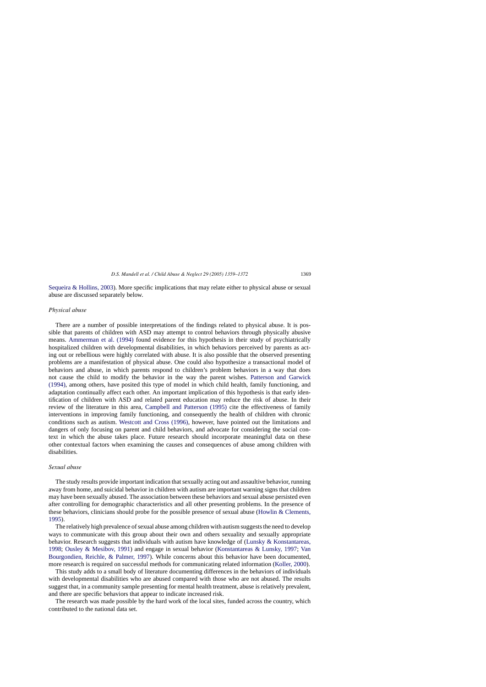[Sequeira & Hollins, 2003\).](#page-12-0) More specific implications that may relate either to physical abuse or sexual abuse are discussed separately below.

#### *Physical abuse*

There are a number of possible interpretations of the findings related to physical abuse. It is possible that parents of children with ASD may attempt to control behaviors through physically abusive means. [Ammerman et al. \(1994\)](#page-11-0) found evidence for this hypothesis in their study of psychiatrically hospitalized children with developmental disabilities, in which behaviors perceived by parents as acting out or rebellious were highly correlated with abuse. It is also possible that the observed presenting problems are a manifestation of physical abuse. One could also hypothesize a transactional model of behaviors and abuse, in which parents respond to children's problem behaviors in a way that does not cause the child to modify the behavior in the way the parent wishes. [Patterson and Garwick](#page-12-0) [\(1994\),](#page-12-0) among others, have posited this type of model in which child health, family functioning, and adaptation continually affect each other. An important implication of this hypothesis is that early identification of children with ASD and related parent education may reduce the risk of abuse. In their review of the literature in this area, [Campbell and Patterson \(1995\)](#page-11-0) cite the effectiveness of family interventions in improving family functioning, and consequently the health of children with chronic conditions such as autism. [Westcott and Cross \(1996\),](#page-13-0) however, have pointed out the limitations and dangers of only focusing on parent and child behaviors, and advocate for considering the social context in which the abuse takes place. Future research should incorporate meaningful data on these other contextual factors when examining the causes and consequences of abuse among children with disabilities.

## *Sexual abuse*

The study results provide important indication that sexually acting out and assaultive behavior, running away from home, and suicidal behavior in children with autism are important warning signs that children may have been sexually abused. The association between these behaviors and sexual abuse persisted even after controlling for demographic characteristics and all other presenting problems. In the presence of these behaviors, clinicians should probe for the possible presence of sexual abuse ([Howlin & Clements,](#page-12-0) [1995\).](#page-12-0)

The relatively high prevalence of sexual abuse among children with autism suggests the need to develop ways to communicate with this group about their own and others sexuality and sexually appropriate behavior. Research suggests that individuals with autism have knowledge of ([Lunsky & Konstantareas,](#page-12-0) [1998;](#page-12-0) [Ousley & Mesibov, 1991\)](#page-12-0) and engage in sexual behavior ([Konstantareas & Lunsky, 1997;](#page-12-0) [Van](#page-13-0) [Bourgondien, Reichle, & Palmer, 1997\).](#page-13-0) While concerns about this behavior have been documented, more research is required on successful methods for communicating related information ([Koller, 2000\).](#page-12-0)

This study adds to a small body of literature documenting differences in the behaviors of individuals with developmental disabilities who are abused compared with those who are not abused. The results suggest that, in a community sample presenting for mental health treatment, abuse is relatively prevalent, and there are specific behaviors that appear to indicate increased risk.

The research was made possible by the hard work of the local sites, funded across the country, which contributed to the national data set.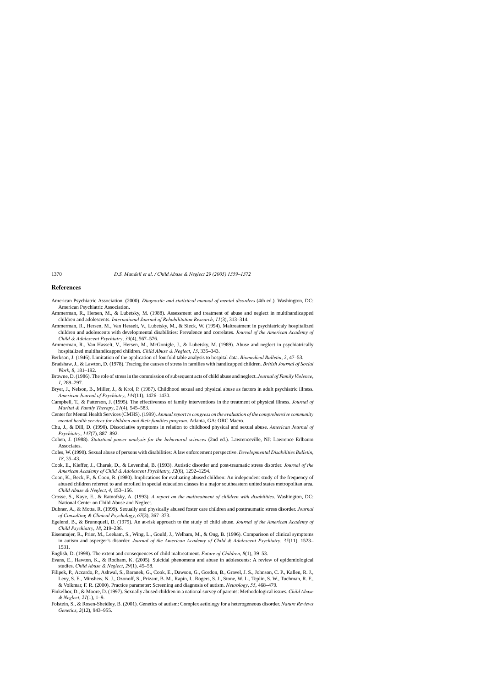### <span id="page-11-0"></span>**References**

- American Psychiatric Association. (2000). *Diagnostic and statistical manual of mental disorders* (4th ed.). Washington, DC: American Psychiatric Association.
- Ammerman, R., Hersen, M., & Lubetsky, M. (1988). Assessment and treatment of abuse and neglect in multihandicapped children and adolescents. *International Journal of Rehabilitation Research*, *11*(3), 313–314.
- Ammerman, R., Hersen, M., Van Hesselt, V., Lubetsky, M., & Sieck, W. (1994). Maltreatment in psychiatricaly hospitalized children and adolescents with developmental disabilities: Prevalence and correlates. *Journal of the American Academy of Child & Adolescent Psychiatry*, *33*(4), 567–576.
- Ammerman, R., Van Hasselt, V., Hersen, M., McGonigle, J., & Lubetsky, M. (1989). Abuse and neglect in psychiatrically hospitalized multihandicapped children. *Child Abuse & Neglect*, *13*, 335–343.
- Berkson, J. (1946). Limitation of the application of fourfold table analysis to hospital data. *Biomedical Bulletin*, *2*, 47–53.
- Bradshaw, J., & Lawton, D. (1978). Tracing the causes of stress in families with handicapped children. *British Journal of Social Work*, *8*, 181–192.
- Browne, D. (1986). The role of stress in the commission of subsequent acts of child abuse and neglect. *Journal of Family Violence*, *1*, 289–297.
- Bryer, J., Nelson, B., Miller, J., & Krol, P. (1987). Childhood sexual and physical abuse as factors in adult psychiatric illness. *American Journal of Psychiatry*, *144*(11), 1426–1430.
- Campbell, T., & Patterson, J. (1995). The effectiveness of family interventions in the treatment of physical illness. *Journal of Marital & Family Therapy*, *21*(4), 545–583.
- Center for Mental Health Services (CMHS). (1999). *Annual report to congress on the evaluation of the comprehensive community mental health services for children and their families program*. Atlanta, GA: ORC Macro.
- Chu, J., & Dill, D. (1990). Dissociative symptoms in relation to childhood physical and sexual abuse. *American Journal of Psychiatry*, *147*(7), 887–892.
- Cohen, J. (1988). *Statistical power analysis for the behavioral sciences* (2nd ed.). Lawrenceville, NJ: Lawrence Erlbaum Associates.
- Coles, W. (1990). Sexual abuse of persons with disabilities: A law enforcement perspective. *Developmental Disabilities Bulletin*, *18*, 35–43.
- Cook, E., Kieffer, J., Charak, D., & Leventhal, B. (1993). Autistic disorder and post-traumatic stress disorder. *Journal of the American Academy of Child & Adolescent Psychiatry*, *32*(6), 1292–1294.
- Coon, K., Beck, F., & Coon, R. (1980). Implications for evaluating abused children: An independent study of the frequency of abused children referred to and enrolled in special education classes in a major southeastern united states metropolitan area. *Child Abuse & Neglect*, *4*, 153–156.
- Crosse, S., Kaye, E., & Ratnofsky, A. (1993). *A report on the maltreatment of children with disabilities*. Washington, DC: National Center on Child Abuse and Neglect.
- Dubner, A., & Motta, R. (1999). Sexually and physically abused foster care children and posttraumatic stress disorder. *Journal of Consulting & Clinical Psychology*, *67*(3), 367–373.
- Egelend, B., & Brunnquell, D. (1979). An at-risk approach to the study of child abuse. *Journal of the American Academy of Child Psychiatry*, *18*, 219–236.
- Eisenmajer, R., Prior, M., Leekam, S., Wing, L., Gould, J., Welham, M., & Ong, B. (1996). Comparison of clinical symptoms in autism and asperger's disorder. *Journal of the American Academy of Child & Adolescent Psychiatry*, *35*(11), 1523– 1531.
- English, D. (1998). The extent and consequences of child maltreatment. *Future of Children*, *8*(1), 39–53.
- Evans, E., Hawton, K., & Rodham, K. (2005). Suicidal phenomena and abuse in adolescents: A review of epidemiological studies. *Child Abuse & Neglect*, *29*(1), 45–58.
- Filipek, P., Accardo, P., Ashwal, S., Baranek, G., Cook, E., Dawson, G., Gordon, B., Gravel, J. S., Johnson, C. P., Kallen, R. J., Levy, S. E., Minshew, N. J., Ozonoff, S., Prizant, B. M., Rapin, I., Rogers, S. J., Stone, W. L., Teplin, S. W., Tuchman, R. F., & Volkmar, F. R. (2000). Practice parameter: Screening and diagnosis of autism. *Neurology*, *55*, 468–479.
- Finkelhor, D., & Moore, D. (1997). Sexually abused children in a national survey of parents: Methodological issues. *Child Abuse & Neglect*, *21*(1), 1–9.
- Folstein, S., & Rosen-Sheidley, B. (2001). Genetics of autism: Complex aetiology for a heterogeneous disorder. *Nature Reviews Genetics*, *2*(12), 943–955.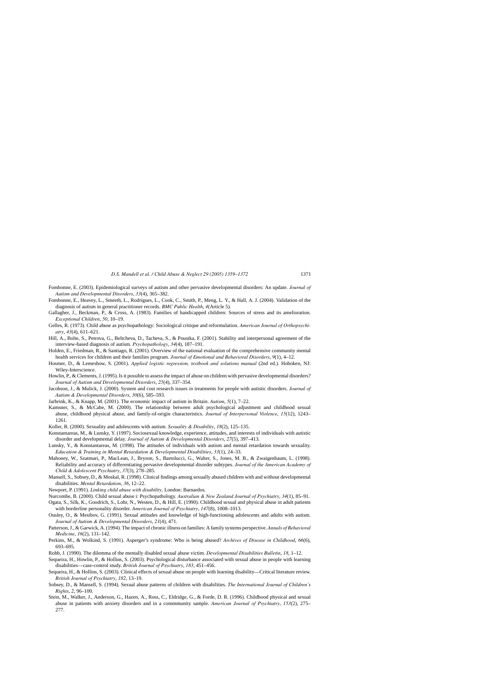- <span id="page-12-0"></span>Fombonne, E. (2003). Epidemiological surveys of autism and other pervasive developmental disorders: An update. *Journal of Autism and Developmental Disorders*, *33*(4), 365–382.
- Fombonne, E., Heavey, L., Smeeth, L., Rodrigues, L., Cook, C., Smith, P., Meng, L. Y., & Hall, A. J. (2004). Validation of the diagnosis of autism in general practitioner records. *BMC Public Health*, *4*(Article 5).
- Gallagher, J., Beckman, P., & Cross, A. (1983). Families of handicapped children: Sources of stress and its amelioration. *Exceptional Children*, *50*, 10–19.
- Gelles, R. (1973). Child abuse as psychopathology: Sociological critique and reformulation. *American Journal of Orthopsychiatry*, *43*(4), 611–621.
- Hill, A., Bolte, S., Petrova, G., Beltcheva, D., Tacheva, S., & Poustka, F. (2001). Stability and interpersonal agreement of the interview-based diagnosis of autism. *Psychopathology*, *34*(4), 187–191.
- Holden, E., Friedman, R., & Santiago, R. (2001). Overview of the national evaluation of the comprehensive community mental health services for children and their families program. *Journal of Emotional and Behavioral Disorders*, *9*(1), 4–12.
- Hosmer, D., & Lemeshow, S. (2001). *Applied logistic regression, textbook and solutions manual* (2nd ed.). Hoboken, NJ: Wiley-Interscience.
- Howlin, P., & Clements, J. (1995). Is it possible to assess the impact of abuse on children with pervasive developmental disorders? *Journal of Autism and Developmental Disorders*, *25*(4), 337–354.
- Jacobson, J., & Mulick, J. (2000). System and cost research issues in treatments for people with autistic disorders. *Journal of Autism & Developmental Disorders*, *30*(6), 585–593.
- Jarbrink, K., & Knapp, M. (2001). The economic impact of autism in Britain. *Autism*, *5*(1), 7–22.
- Kamsner, S., & McCabe, M. (2000). The relationship between adult psychological adjustment and childhood sexual abuse, childhood physical abuse, and family-of-origin characteristics. *Journal of Interpersonal Violence*, *15*(12), 1243– 1261.
- Koller, R. (2000). Sexuality and adolescents with autism. *Sexuality & Disability*, *18*(2), 125–135.
- Konstantareas, M., & Lunsky, Y. (1997). Sociosexual knowledge, experience, attitudes, and interests of individuals with autistic disorder and developmental delay. *Journal of Autism & Developmental Disorders*, *27*(5), 397–413.
- Lunsky, Y., & Konstantareas, M. (1998). The attitudes of individuals with autism and mental retardation towards sexuality. *Education & Training in Mental Retardation & Developmental Disabilities*, *33*(1), 24–33.
- Mahoney, W., Szatmari, P., MacLean, J., Bryson, S., Bartolucci, G., Walter, S., Jones, M. B., & Zwaigenbaum, L. (1998). Reliability and accuracy of differentiating pervasive developmental disorder subtypes. *Journal of the American Academy of Child & Adolescent Psychiatry*, *37*(3), 278–285.
- Mansell, S., Sobsey, D., & Moskal, R. (1998). Clinical findings among sexually abused children with and without developmental disabilities. *Mental Retardation*, *36*, 12–22.
- Newport, P. (1991). *Linking child abuse with disability*. London: Barnardos.
- Nurcombe, B. (2000). Child sexual abuse i: Psychopathology. *Australian & New Zealand Journal of Psychiatry*, *34*(1), 85–91.
- Ogata, S., Silk, K., Goodrich, S., Lohr, N., Westen, D., & Hill, E. (1990). Childhood sexual and physical abuse in adult patients with borderline personality disorder. *American Journal of Psychiatry*, *147*(8), 1008–1013.
- Ousley, O., & Mesibov, G. (1991). Sexual attitudes and knowledge of high-functioning adolescents and adults with autism. *Journal of Autism & Developmental Disorders*, *21*(4), 471.
- Patterson, J., & Garwick, A. (1994). The impact of chronic illness on families: A family systems perspective. *Annals of Behavioral Medicine*, *16*(2), 131–142.
- Perkins, M., & Wolkind, S. (1991). Asperger's syndrome: Who is being abused? *Archives of Disease in Childhood*, *66*(6), 693–695.
- Robb, J. (1990). The dilemma of the mentally disabled sexual abuse victim. *Developmental Disabilities Bulletin*, *18*, 1–12.
- Sequeira, H., Howlin, P., & Hollins, S. (2003). Psychological disturbance associated with sexual abuse in people with learning disabilities—case-control study. *British Journal of Psychiatry*, *183*, 451–456.
- Sequeira, H., & Hollins, S. (2003). Clinical effects of sexual abuse on people with learning disability—Critical literature review. *British Journal of Psychiatry*, *182*, 13–19.
- Sobsey, D., & Mansell, S. (1994). Sexual abuse patterns of children with disabilities. *The International Journal of Children's Rights*, *2*, 96–100.
- Stein, M., Walker, J., Anderson, G., Hazen, A., Ross, C., Eldridge, G., & Forde, D. R. (1996). Childhood physical and sexual abuse in patients with anxiety disorders and in a commmunity sample. *American Journal of Psychiatry*, *153*(2), 275– 277.